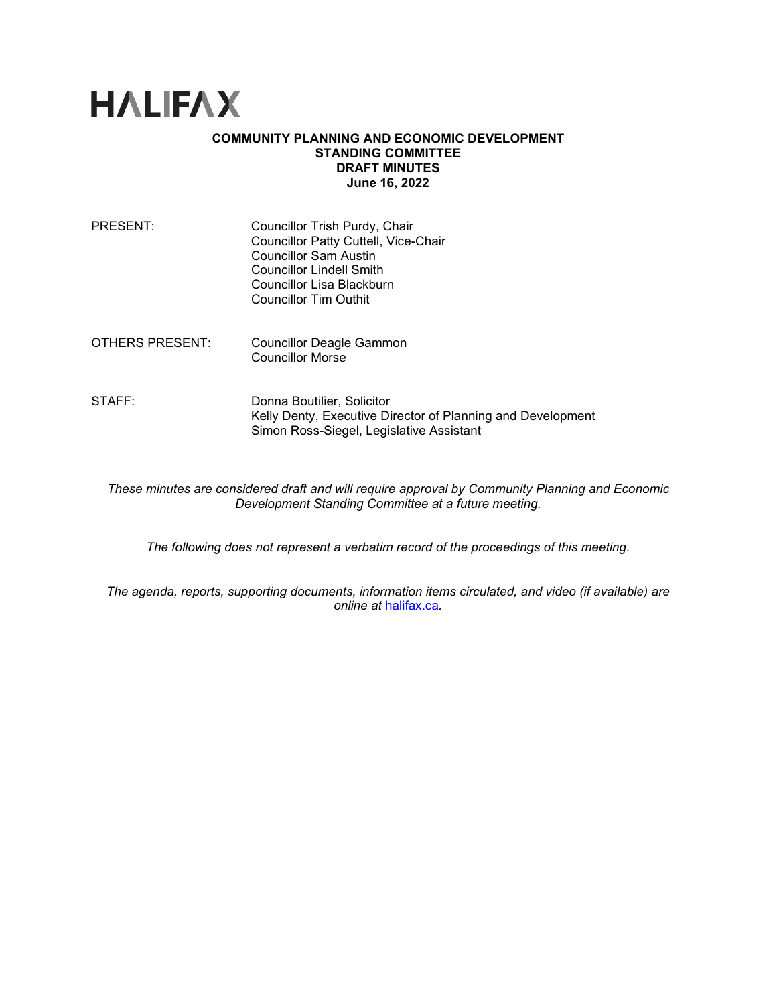

## **COMMUNITY PLANNING AND ECONOMIC DEVELOPMENT STANDING COMMITTEE DRAFT MINUTES June 16, 2022**

| PRESENT:        | Councillor Trish Purdy, Chair<br>Councillor Patty Cuttell, Vice-Chair<br><b>Councillor Sam Austin</b><br><b>Councillor Lindell Smith</b><br>Councillor Lisa Blackburn<br><b>Councillor Tim Outhit</b> |
|-----------------|-------------------------------------------------------------------------------------------------------------------------------------------------------------------------------------------------------|
| OTHERS PRESENT: | Councillor Deagle Gammon<br><b>Councillor Morse</b>                                                                                                                                                   |
| STAFF:          | Donna Boutilier, Solicitor<br>Kelly Denty, Executive Director of Planning and Development<br>Simon Ross-Siegel, Legislative Assistant                                                                 |

*These minutes are considered draft and will require approval by Community Planning and Economic Development Standing Committee at a future meeting.* 

*The following does not represent a verbatim record of the proceedings of this meeting.*

*The agenda, reports, supporting documents, information items circulated, and video (if available) are online at* [halifax.ca](http://www.halifax.ca/)*.*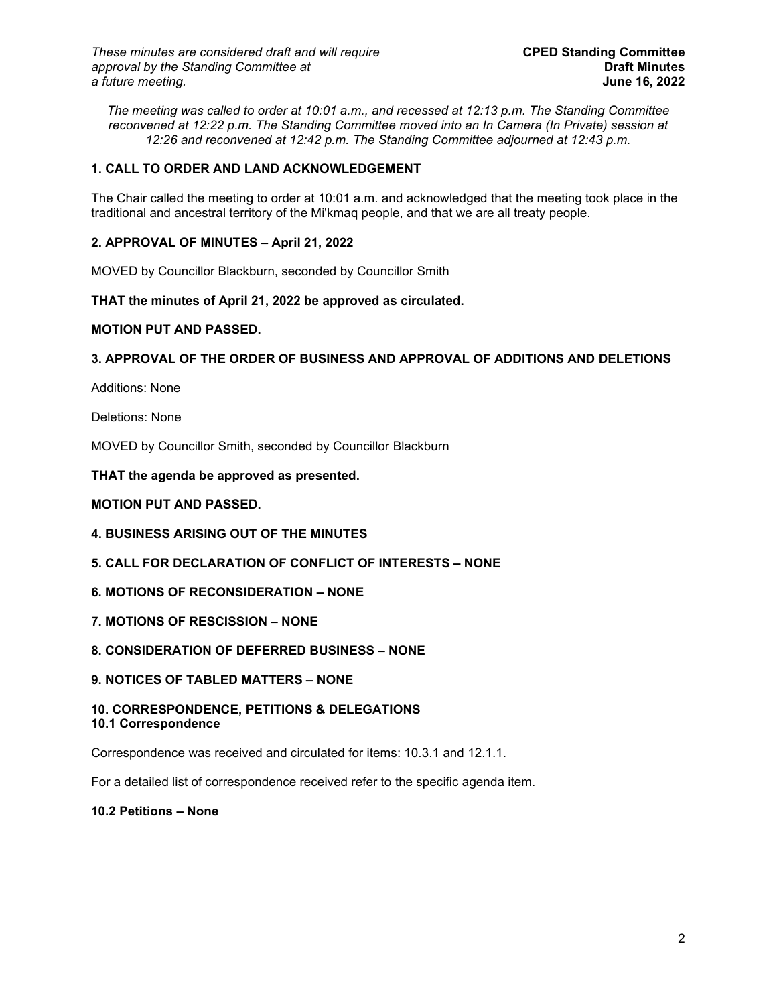*The meeting was called to order at 10:01 a.m., and recessed at 12:13 p.m. The Standing Committee reconvened at 12:22 p.m. The Standing Committee moved into an In Camera (In Private) session at 12:26 and reconvened at 12:42 p.m. The Standing Committee adjourned at 12:43 p.m.*

# **1. CALL TO ORDER AND LAND ACKNOWLEDGEMENT**

The Chair called the meeting to order at 10:01 a.m. and acknowledged that the meeting took place in the traditional and ancestral territory of the Mi'kmaq people, and that we are all treaty people.

# **2. APPROVAL OF MINUTES – April 21, 2022**

MOVED by Councillor Blackburn, seconded by Councillor Smith

**THAT the minutes of April 21, 2022 be approved as circulated.**

## **MOTION PUT AND PASSED.**

# **3. APPROVAL OF THE ORDER OF BUSINESS AND APPROVAL OF ADDITIONS AND DELETIONS**

Additions: None

Deletions: None

MOVED by Councillor Smith, seconded by Councillor Blackburn

## **THAT the agenda be approved as presented.**

## **MOTION PUT AND PASSED.**

- **4. BUSINESS ARISING OUT OF THE MINUTES**
- **5. CALL FOR DECLARATION OF CONFLICT OF INTERESTS – NONE**
- **6. MOTIONS OF RECONSIDERATION – NONE**
- **7. MOTIONS OF RESCISSION – NONE**

# **8. CONSIDERATION OF DEFERRED BUSINESS – NONE**

**9. NOTICES OF TABLED MATTERS – NONE**

#### **10. CORRESPONDENCE, PETITIONS & DELEGATIONS 10.1 Correspondence**

Correspondence was received and circulated for items: 10.3.1 and 12.1.1.

For a detailed list of correspondence received refer to the specific agenda item.

#### **10.2 Petitions – None**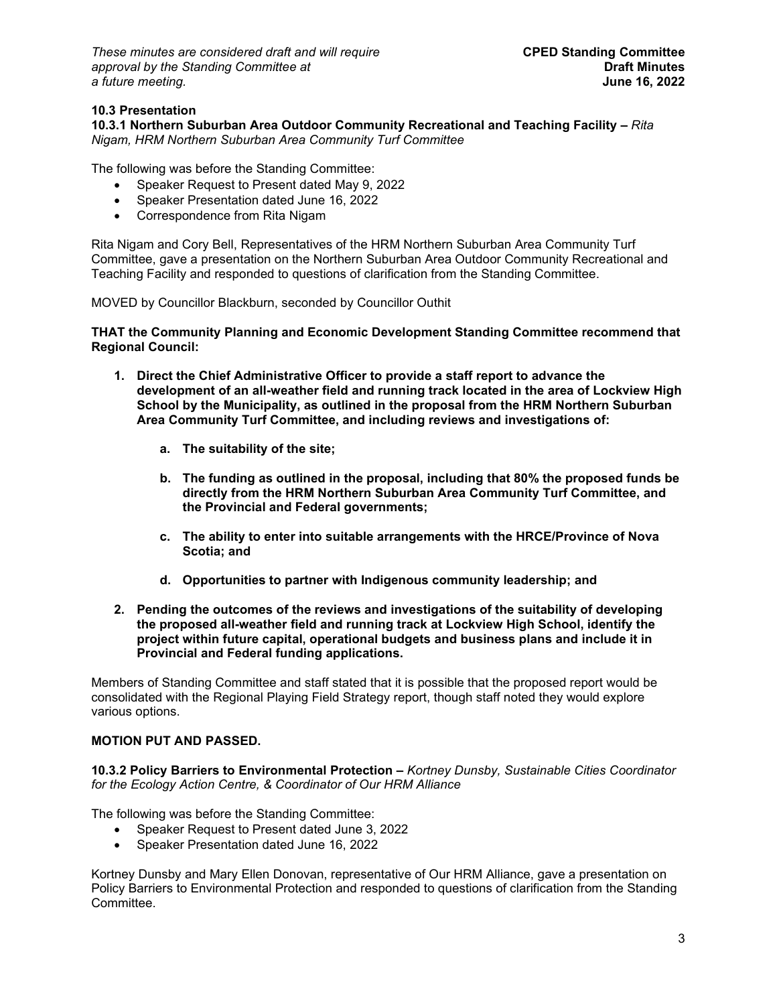*These minutes are considered draft and will require* **CPED Standing Committee** *approval by the Standing Committee at* **Draft Minutes**   $a$  *future meeting.* 

## **10.3 Presentation**

**10.3.1 Northern Suburban Area Outdoor Community Recreational and Teaching Facility –** *Rita Nigam, HRM Northern Suburban Area Community Turf Committee*

The following was before the Standing Committee:

- Speaker Request to Present dated May 9, 2022
- Speaker Presentation dated June 16, 2022
- Correspondence from Rita Nigam

Rita Nigam and Cory Bell, Representatives of the HRM Northern Suburban Area Community Turf Committee, gave a presentation on the Northern Suburban Area Outdoor Community Recreational and Teaching Facility and responded to questions of clarification from the Standing Committee.

MOVED by Councillor Blackburn, seconded by Councillor Outhit

**THAT the Community Planning and Economic Development Standing Committee recommend that Regional Council:**

- **1. Direct the Chief Administrative Officer to provide a staff report to advance the development of an all-weather field and running track located in the area of Lockview High School by the Municipality, as outlined in the proposal from the HRM Northern Suburban Area Community Turf Committee, and including reviews and investigations of:**
	- **a. The suitability of the site;**
	- **b. The funding as outlined in the proposal, including that 80% the proposed funds be directly from the HRM Northern Suburban Area Community Turf Committee, and the Provincial and Federal governments;**
	- **c. The ability to enter into suitable arrangements with the HRCE/Province of Nova Scotia; and**
	- **d. Opportunities to partner with Indigenous community leadership; and**
- **2. Pending the outcomes of the reviews and investigations of the suitability of developing the proposed all-weather field and running track at Lockview High School, identify the project within future capital, operational budgets and business plans and include it in Provincial and Federal funding applications.**

Members of Standing Committee and staff stated that it is possible that the proposed report would be consolidated with the Regional Playing Field Strategy report, though staff noted they would explore various options.

### **MOTION PUT AND PASSED.**

**10.3.2 Policy Barriers to Environmental Protection –** *Kortney Dunsby, Sustainable Cities Coordinator for the Ecology Action Centre, & Coordinator of Our HRM Alliance*

The following was before the Standing Committee:

- Speaker Request to Present dated June 3, 2022
- Speaker Presentation dated June 16, 2022

Kortney Dunsby and Mary Ellen Donovan, representative of Our HRM Alliance, gave a presentation on Policy Barriers to Environmental Protection and responded to questions of clarification from the Standing Committee.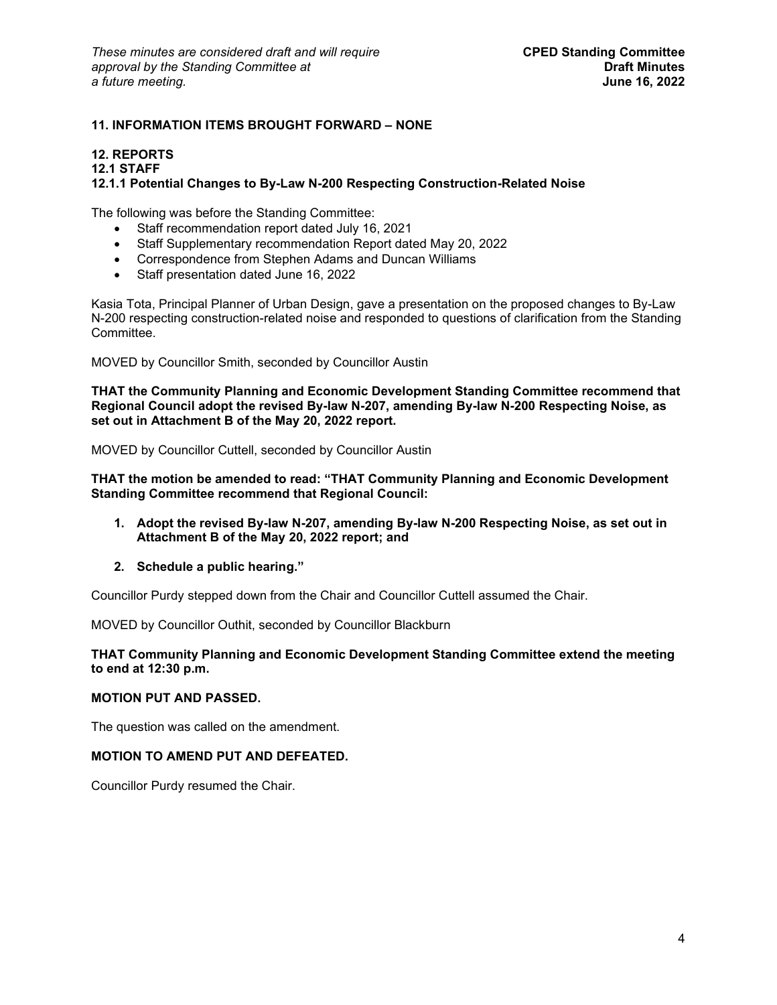# **11. INFORMATION ITEMS BROUGHT FORWARD – NONE**

#### **12. REPORTS**

#### **12.1 STAFF**

#### **12.1.1 Potential Changes to By-Law N-200 Respecting Construction-Related Noise**

The following was before the Standing Committee:

- Staff recommendation report dated July 16, 2021
- Staff Supplementary recommendation Report dated May 20, 2022
- Correspondence from Stephen Adams and Duncan Williams
- Staff presentation dated June 16, 2022

Kasia Tota, Principal Planner of Urban Design, gave a presentation on the proposed changes to By-Law N-200 respecting construction-related noise and responded to questions of clarification from the Standing Committee.

MOVED by Councillor Smith, seconded by Councillor Austin

**THAT the Community Planning and Economic Development Standing Committee recommend that Regional Council adopt the revised By-law N-207, amending By-law N-200 Respecting Noise, as set out in Attachment B of the May 20, 2022 report.**

MOVED by Councillor Cuttell, seconded by Councillor Austin

**THAT the motion be amended to read: "THAT Community Planning and Economic Development Standing Committee recommend that Regional Council:**

- **1. Adopt the revised By-law N-207, amending By-law N-200 Respecting Noise, as set out in Attachment B of the May 20, 2022 report; and**
- **2. Schedule a public hearing."**

Councillor Purdy stepped down from the Chair and Councillor Cuttell assumed the Chair.

MOVED by Councillor Outhit, seconded by Councillor Blackburn

#### **THAT Community Planning and Economic Development Standing Committee extend the meeting to end at 12:30 p.m.**

#### **MOTION PUT AND PASSED.**

The question was called on the amendment.

#### **MOTION TO AMEND PUT AND DEFEATED.**

Councillor Purdy resumed the Chair.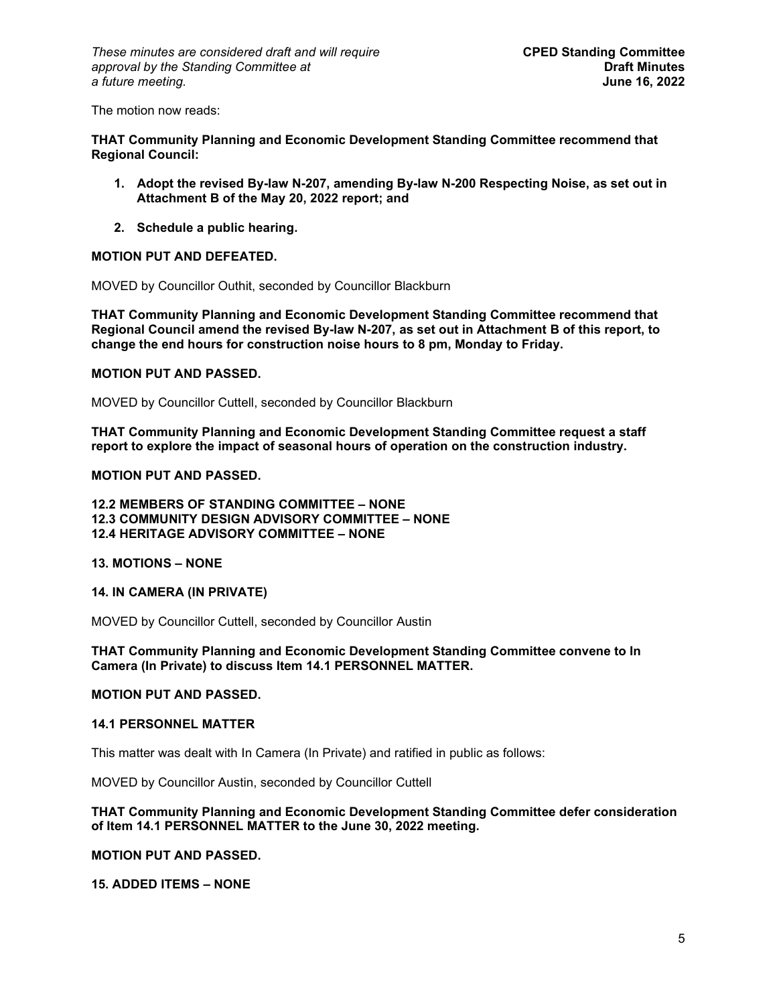The motion now reads:

**THAT Community Planning and Economic Development Standing Committee recommend that Regional Council:** 

- **1. Adopt the revised By-law N-207, amending By-law N-200 Respecting Noise, as set out in Attachment B of the May 20, 2022 report; and**
- **2. Schedule a public hearing.**

#### **MOTION PUT AND DEFEATED.**

MOVED by Councillor Outhit, seconded by Councillor Blackburn

**THAT Community Planning and Economic Development Standing Committee recommend that Regional Council amend the revised By-law N-207, as set out in Attachment B of this report, to change the end hours for construction noise hours to 8 pm, Monday to Friday.**

#### **MOTION PUT AND PASSED.**

MOVED by Councillor Cuttell, seconded by Councillor Blackburn

**THAT Community Planning and Economic Development Standing Committee request a staff report to explore the impact of seasonal hours of operation on the construction industry.**

#### **MOTION PUT AND PASSED.**

**12.2 MEMBERS OF STANDING COMMITTEE – NONE 12.3 COMMUNITY DESIGN ADVISORY COMMITTEE – NONE 12.4 HERITAGE ADVISORY COMMITTEE – NONE**

#### **13. MOTIONS – NONE**

#### **14. IN CAMERA (IN PRIVATE)**

MOVED by Councillor Cuttell, seconded by Councillor Austin

**THAT Community Planning and Economic Development Standing Committee convene to In Camera (In Private) to discuss Item 14.1 PERSONNEL MATTER.** 

#### **MOTION PUT AND PASSED.**

#### **14.1 PERSONNEL MATTER**

This matter was dealt with In Camera (In Private) and ratified in public as follows:

MOVED by Councillor Austin, seconded by Councillor Cuttell

### **THAT Community Planning and Economic Development Standing Committee defer consideration of Item 14.1 PERSONNEL MATTER to the June 30, 2022 meeting.**

#### **MOTION PUT AND PASSED.**

**15. ADDED ITEMS – NONE**